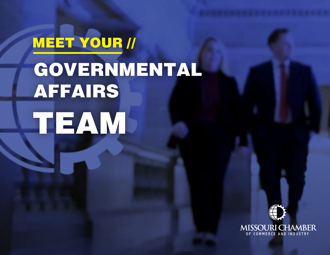# MEET YOUR // GOVERNMENTAL AFFAIRS TEAM

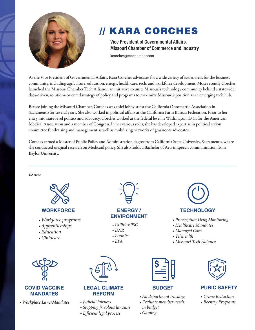

## // KARA CORCHES

**Vice President of Governmental Affairs, Missouri Chamber of Commerce and Industry** kcorches@mochamber.com

As the Vice President of Governmental Affairs, Kara Corches advocates for a wide variety of issues areas for the business community, including agriculture, education, energy, health care, tech, and workforce development. Most recently Corches launched the Missouri Chamber Tech Alliance, an initiative to unite Missouri's technology community behind a statewide, data-driven, solutions-oriented strategy of policy and programs to maximize Missouri's position as an emerging tech hub.

Before joining the Missouri Chamber, Corches was chief lobbyist for the California Optometric Association in Sacramento for several years. She also worked in political affairs at the California Farm Bureau Federation. Prior to her entry into state-level politics and advocacy, Corches worked at the federal level in Washington, D.C. for the American Medical Association and a member of Congress. In her various roles, she has developed expertise in political action committee fundraising and management as well as mobilizing networks of grassroots advocates.

Corches earned a Master of Public Policy and Administration degree from California State University, Sacramento, where she conducted original research on Medicaid policy. She also holds a Bachelor of Arts in speech communication from Baylor University.

*Issues:* 



#### **WORKFORCE**

- *Workforce programs*
- *Apprenticeships*
- *Education*
- *Childcare*



#### **COVID VACCINE MANDATES**

*• Workplace Laws/Mandates*



## **ENERGY / TECHNOLOGY<br>ENVIRONMENT**

- *Utilities/PSC*
- *DNR*
- *Permits*
- *EPA*



#### **LEGAL CLIMATE REFORM**

#### *• Judicial fairness*

- *Stopping frivolous lawsuits*
- *Efficient legal process*



- *All department tracking*
- *Evaluate member needs in budget*
- *Gaming*



**ENVIRONMENT** *• Prescription Drug Monitoring*

*• Healthcare Mandates • Managed Care • Telehealth*

*• Missouri Tech Alliance*

#### **BUDGET PUBIC SAFETY**

- *Crime Reduction*
- *Reentry Programs*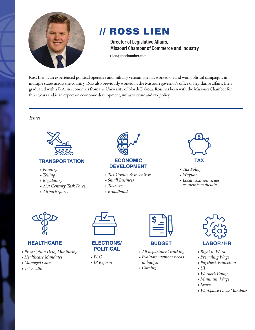

## // ROSS LIEN

**Director of Legislative Affairs, Missouri Chamber of Commerce and Industry** rlien@mochamber.com

Ross Lien is an experienced political operative and military veteran. He has worked on and won political campaigns in multiple states across the country. Ross also previously worked in the Missouri governor's office on legislative affairs. Lien graduated with a B.A. in economics from the University of North Dakota. Ross has been with the Missouri Chamber for three years and is an expert on economic development, infrastructure and tax policy.

*Issues:* 



#### **TRANSPORTATION**

- *Funding*
- *Tolling*
- *Regulatory*
- *21st Century Task Force*
- *Airports/ports*



- *Tax Credits & Incentives*
- *Small Business*
- *Tourism*
- *Broadband*



- *Tax Policy*
- *Wayfair*
- *Local taxation issues as members dictate*



### **HEALTHCARE**

- *Prescription Drug Monitoring*
- *Healthcare Mandates*
- *Managed Care*
- *Telehealth*



#### **ELECTIONS/ POLITICAL**

*• PAC • IP Reform*

### **BUDGET LABOR / HR**

- *All department tracking*
- *Evaluate member needs*

*in budget • Gaming*

- *Prevailing Wage*
	- *Paycheck Protection*
	- *UI*
	- *Worker's Comp*

*• Right to Work*

- *Minimum Wage*
- *Leave*
- *Workplace Laws/Mandates*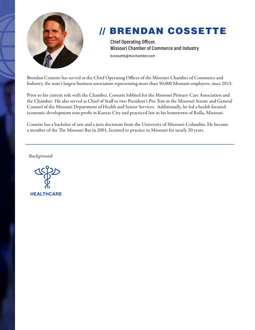

## // BRENDAN COSSETTE

**Chief Operating Officer, Missouri Chamber of Commerce and Industry** bcossette@mochamber.com

Brendan Cossette has served as the Chief Operating Officer of the Missouri Chamber of Commerce and Industry, the state's largest business association representing more than 50,000 Missouri employers, since 2015.

Prior to his current role with the Chamber, Cossette lobbied for the Missouri Primary Care Association and the Chamber. He also served as Chief of Staff to two President's Pro Tem in the Missouri Senate and General Counsel of the Missouri Department of Health and Senior Services. Additionally, he led a health focused economic development non-profit in Kansas City and practiced law in his hometown of Rolla, Missouri.

Cossette has a bachelor of arts and a juris doctorate from the University of Missouri-Columbia. He became a member of the The Missouri Bar in 2001, licensed to practice in Missouri for nearly 20 years.

*Background:* 

**HEALTHCARE**